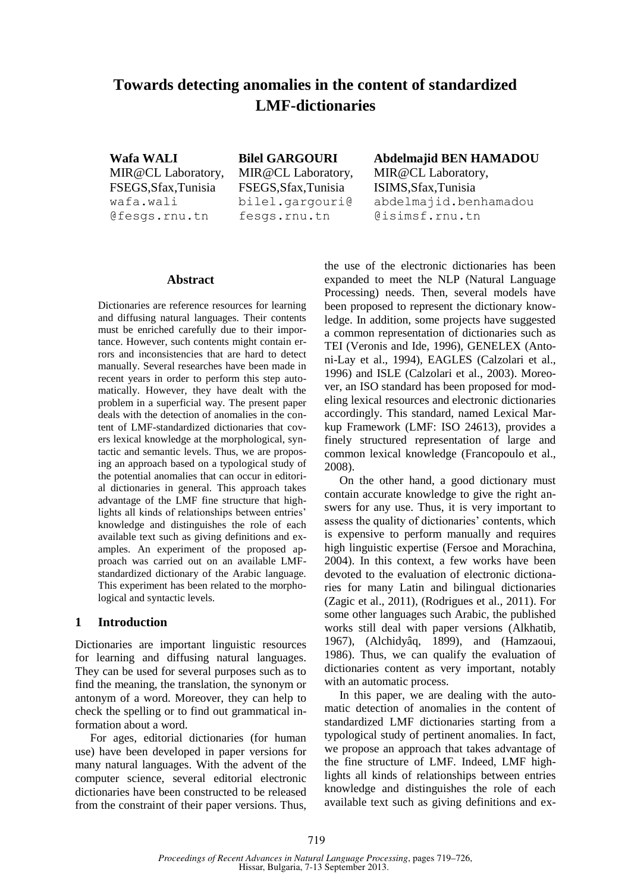# **Towards detecting anomalies in the content of standardized LMF-dictionaries**

**Wafa WALI** MIR@CL Laboratory, FSEGS,Sfax,Tunisia wafa.wali @fesgs.rnu.tn

**Bilel GARGOURI** MIR@CL Laboratory, FSEGS,Sfax,Tunisia bilel.gargouri@ fesgs.rnu.tn

**Abdelmajid BEN HAMADOU** MIR@CL Laboratory, ISIMS,Sfax,Tunisia abdelmajid.benhamadou @isimsf.rnu.tn

#### **Abstract**

Dictionaries are reference resources for learning and diffusing natural languages. Their contents must be enriched carefully due to their importance. However, such contents might contain errors and inconsistencies that are hard to detect manually. Several researches have been made in recent years in order to perform this step automatically. However, they have dealt with the problem in a superficial way. The present paper deals with the detection of anomalies in the content of LMF-standardized dictionaries that covers lexical knowledge at the morphological, syntactic and semantic levels. Thus, we are proposing an approach based on a typological study of the potential anomalies that can occur in editorial dictionaries in general. This approach takes advantage of the LMF fine structure that highlights all kinds of relationships between entries' knowledge and distinguishes the role of each available text such as giving definitions and examples. An experiment of the proposed approach was carried out on an available LMFstandardized dictionary of the Arabic language. This experiment has been related to the morphological and syntactic levels.

#### **1 Introduction**

Dictionaries are important linguistic resources for learning and diffusing natural languages. They can be used for several purposes such as to find the meaning, the translation, the synonym or antonym of a word. Moreover, they can help to check the spelling or to find out grammatical information about a word.

For ages, editorial dictionaries (for human use) have been developed in paper versions for many natural languages. With the advent of the computer science, several editorial electronic dictionaries have been constructed to be released from the constraint of their paper versions. Thus,

the use of the electronic dictionaries has been expanded to meet the NLP (Natural Language Processing) needs. Then, several models have been proposed to represent the dictionary knowledge. In addition, some projects have suggested a common representation of dictionaries such as TEI (Veronis and Ide, 1996), GENELEX (Antoni-Lay et al., 1994), EAGLES (Calzolari et al., 1996) and ISLE (Calzolari et al., 2003). Moreover, an ISO standard has been proposed for modeling lexical resources and electronic dictionaries accordingly. This standard, named Lexical Markup Framework (LMF: ISO 24613), provides a finely structured representation of large and common lexical knowledge (Francopoulo et al., 2008).

On the other hand, a good dictionary must contain accurate knowledge to give the right answers for any use. Thus, it is very important to assess the quality of dictionaries' contents, which is expensive to perform manually and requires high linguistic expertise (Fersoe and Morachina, 2004). In this context, a few works have been devoted to the evaluation of electronic dictionaries for many Latin and bilingual dictionaries (Zagic et al., 2011), (Rodrigues et al., 2011). For some other languages such Arabic, the published works still deal with paper versions (Alkhatib, 1967), (Alchidyâq, 1899), and (Hamzaoui, 1986). Thus, we can qualify the evaluation of dictionaries content as very important, notably with an automatic process.

In this paper, we are dealing with the automatic detection of anomalies in the content of standardized LMF dictionaries starting from a typological study of pertinent anomalies. In fact, we propose an approach that takes advantage of the fine structure of LMF. Indeed, LMF highlights all kinds of relationships between entries knowledge and distinguishes the role of each available text such as giving definitions and ex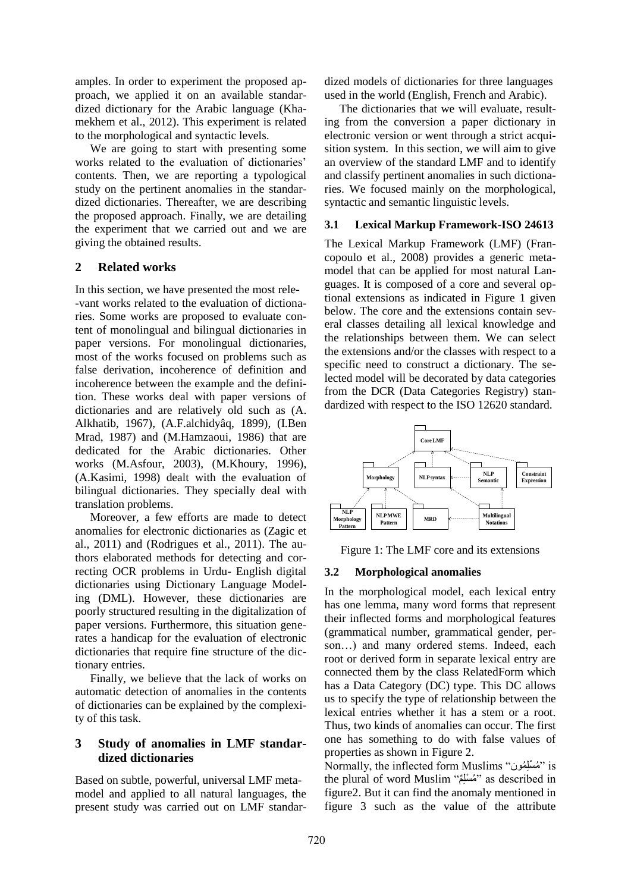amples. In order to experiment the proposed approach, we applied it on an available standardized dictionary for the Arabic language (Khamekhem et al., 2012). This experiment is related to the morphological and syntactic levels.

We are going to start with presenting some works related to the evaluation of dictionaries' contents. Then, we are reporting a typological study on the pertinent anomalies in the standardized dictionaries. Thereafter, we are describing the proposed approach. Finally, we are detailing the experiment that we carried out and we are giving the obtained results.

### **2 Related works**

In this section, we have presented the most rele- -vant works related to the evaluation of dictionaries. Some works are proposed to evaluate content of monolingual and bilingual dictionaries in paper versions. For monolingual dictionaries, most of the works focused on problems such as false derivation, incoherence of definition and incoherence between the example and the definition. These works deal with paper versions of dictionaries and are relatively old such as (A. Alkhatib, 1967), (A.F.alchidyâq, 1899), (I.Ben Mrad, 1987) and (M.Hamzaoui, 1986) that are dedicated for the Arabic dictionaries. Other works (M.Asfour, 2003), (M.Khoury, 1996), (A.Kasimi, 1998) dealt with the evaluation of bilingual dictionaries. They specially deal with translation problems.

Moreover, a few efforts are made to detect anomalies for electronic dictionaries as (Zagic et al., 2011) and (Rodrigues et al., 2011). The authors elaborated methods for detecting and correcting OCR problems in Urdu- English digital dictionaries using Dictionary Language Modeling (DML). However, these dictionaries are poorly structured resulting in the digitalization of paper versions. Furthermore, this situation generates a handicap for the evaluation of electronic dictionaries that require fine structure of the dictionary entries.

Finally, we believe that the lack of works on automatic detection of anomalies in the contents of dictionaries can be explained by the complexity of this task.

### **3 Study of anomalies in LMF standardized dictionaries**

Based on subtle, powerful, universal LMF metamodel and applied to all natural languages, the present study was carried out on LMF standardized models of dictionaries for three languages used in the world (English, French and Arabic).

The dictionaries that we will evaluate, resulting from the conversion a paper dictionary in electronic version or went through a strict acquisition system. In this section, we will aim to give an overview of the standard LMF and to identify and classify pertinent anomalies in such dictionaries. We focused mainly on the morphological, syntactic and semantic linguistic levels.

### **3.1 Lexical Markup Framework-ISO 24613**

The Lexical Markup Framework (LMF) (Francopoulo et al., 2008) provides a generic metamodel that can be applied for most natural Languages. It is composed of a core and several optional extensions as indicated in Figure 1 given below. The core and the extensions contain several classes detailing all lexical knowledge and the relationships between them. We can select the extensions and/or the classes with respect to a specific need to construct a dictionary. The selected model will be decorated by data categories from the DCR (Data Categories Registry) standardized with respect to the ISO 12620 standard.



Figure 1: The LMF core and its extensions

# **3.2 Morphological anomalies**

In the morphological model, each lexical entry has one lemma, many word forms that represent their inflected forms and morphological features (grammatical number, grammatical gender, person…) and many ordered stems. Indeed, each root or derived form in separate lexical entry are connected them by the class RelatedForm which has a Data Category (DC) type. This DC allows us to specify the type of relationship between the lexical entries whether it has a stem or a root. Thus, two kinds of anomalies can occur. The first one has something to do with false values of properties as shown in Figure 2.

Normally, the inflected form Muslims "مُسْلِمُون" is the plural of word Muslim "مُسْلِّمٌ" as described in figure2. But it can find the anomaly mentioned in figure 3 such as the value of the attribute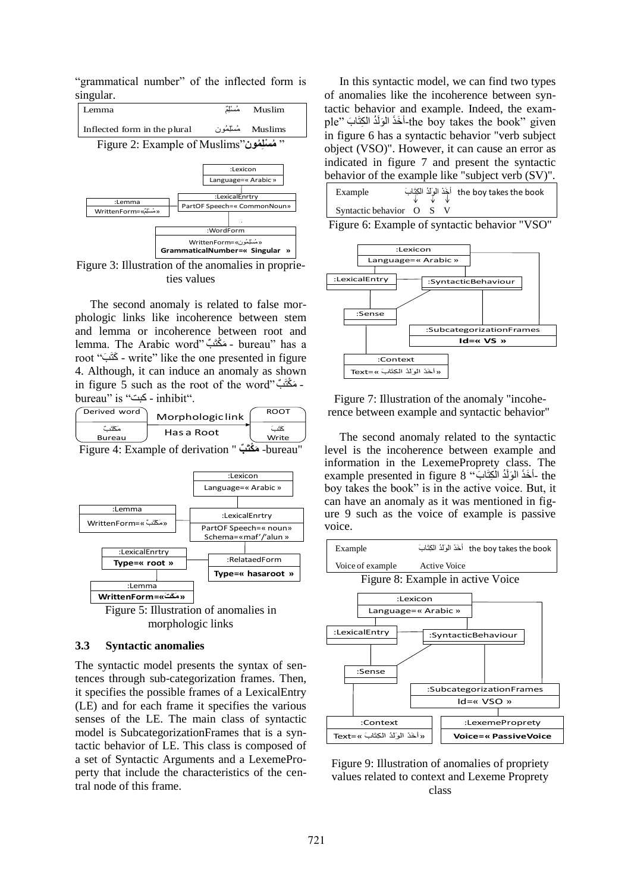"grammatical number" of the inflected form is singular.



Figure 3: Illustration of the anomalies in proprieties values

The second anomaly is related to false morphologic links like incoherence between stem and lemma or incoherence between root and lemma. The Arabic word" مَكْتَبٌ - bureau" has a root "مَثَبَ - write" like the one presented in figure 4. Although, it can induce an anomaly as shown in figure 5 such as the root of the word" - مَكْتَبٌ bureau" is "بت" - inhibit".

|                 | Derived word | Morphologiclink | <b>ROOT</b> |  |
|-----------------|--------------|-----------------|-------------|--|
| Write<br>Bureau |              | Has a Root      |             |  |

Figure 4: Example of derivation " **بٌ مَ ْ ممَ** -bureau"



#### **3.3 Syntactic anomalies**

The syntactic model presents the syntax of sentences through sub-categorization frames. Then, it specifies the possible frames of a LexicalEntry (LE) and for each frame it specifies the various senses of the LE. The main class of syntactic model is SubcategorizationFrames that is a syntactic behavior of LE. This class is composed of a set of Syntactic Arguments and a LexemeProperty that include the characteristics of the central node of this frame.

In this syntactic model, we can find two types of anomalies like the incoherence between syntactic behavior and example. Indeed, the example" أَخَذَ الْوَلَٰذُ الْكِتَابَ (the boy takes the book- given in figure 6 has a syntactic behavior "verb subject object (VSO)". However, it can cause an error as indicated in figure 7 and present the syntactic behavior of the example like "subject verb (SV)".

| Example                |  | the boy takes the book أَخَذَ الْوَلَدُ الْكِتَّابَ |
|------------------------|--|-----------------------------------------------------|
| Syntactic behavior O S |  |                                                     |



Figure 7: Illustration of the anomaly "incoherence between example and syntactic behavior"

The second anomaly related to the syntactic level is the incoherence between example and information in the LexemeProprety class. The example presented in figure 8 "-أَخَذَ الْوَلَدُ الْكِتَابَ " example presented in figure boy takes the book" is in the active voice. But, it can have an anomaly as it was mentioned in figure 9 such as the voice of example is passive voice.



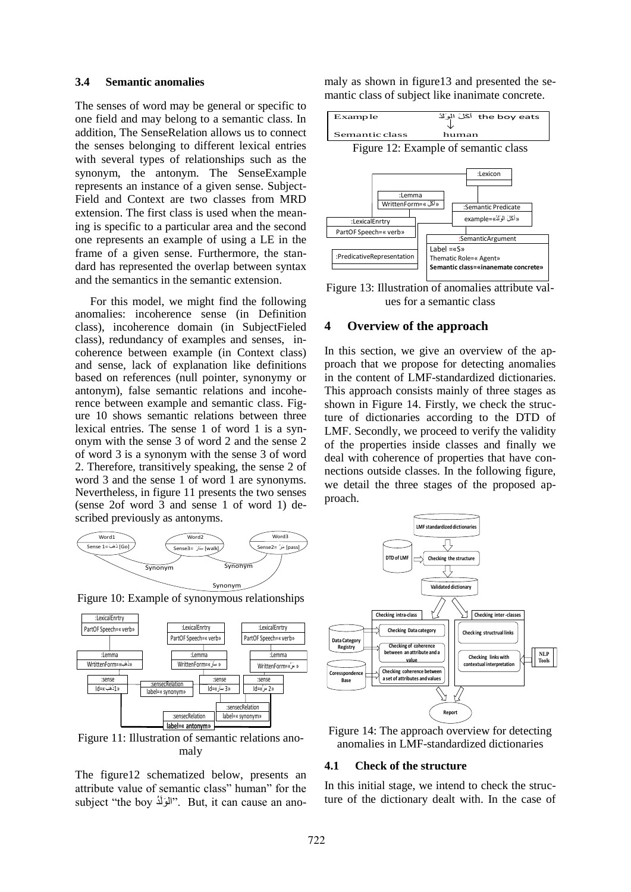#### **3.4 Semantic anomalies**

The senses of word may be general or specific to one field and may belong to a semantic class. In addition, The SenseRelation allows us to connect the senses belonging to different lexical entries with several types of relationships such as the synonym, the antonym. The SenseExample represents an instance of a given sense. Subject-Field and Context are two classes from MRD extension. The first class is used when the meaning is specific to a particular area and the second one represents an example of using a LE in the frame of a given sense. Furthermore, the standard has represented the overlap between syntax and the semantics in the semantic extension.

For this model, we might find the following anomalies: incoherence sense (in Definition class), incoherence domain (in SubjectFieled class), redundancy of examples and senses, incoherence between example (in Context class) and sense, lack of explanation like definitions based on references (null pointer, synonymy or antonym), false semantic relations and incoherence between example and semantic class. Figure 10 shows semantic relations between three lexical entries. The sense 1 of word 1 is a synonym with the sense 3 of word 2 and the sense 2 of word 3 is a synonym with the sense 3 of word 2. Therefore, transitively speaking, the sense 2 of word 3 and the sense 1 of word 1 are synonyms. Nevertheless, in figure 11 presents the two senses (sense 2of word 3 and sense 1 of word 1) described previously as antonyms.



Figure 10: Example of synonymous relationships



Figure 11: Illustration of semantic relations anomaly

The figure12 schematized below, presents an attribute value of semantic class" human" for the subject "the boy "المَوَلَّذُ". But, it can cause an anomaly as shown in figure13 and presented the semantic class of subject like inanimate concrete.



Figure 13: Illustration of anomalies attribute values for a semantic class

### **4 Overview of the approach**

In this section, we give an overview of the approach that we propose for detecting anomalies in the content of LMF-standardized dictionaries. This approach consists mainly of three stages as shown in Figure 14. Firstly, we check the structure of dictionaries according to the DTD of LMF. Secondly, we proceed to verify the validity of the properties inside classes and finally we deal with coherence of properties that have connections outside classes. In the following figure, we detail the three stages of the proposed approach.



Figure 14: The approach overview for detecting anomalies in LMF-standardized dictionaries

#### **4.1 Check of the structure**

In this initial stage, we intend to check the structure of the dictionary dealt with. In the case of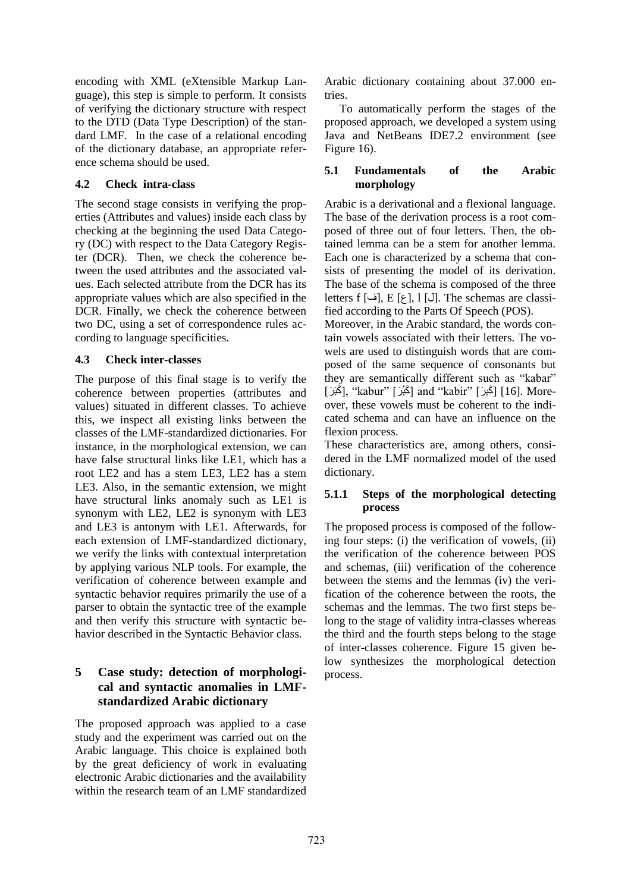encoding with XML (eXtensible Markup Language), this step is simple to perform. It consists of verifying the dictionary structure with respect to the DTD (Data Type Description) of the standard LMF. In the case of a relational encoding of the dictionary database, an appropriate reference schema should be used.

### **4.2 Check intra-class**

The second stage consists in verifying the properties (Attributes and values) inside each class by checking at the beginning the used Data Category (DC) with respect to the Data Category Register (DCR). Then, we check the coherence between the used attributes and the associated values. Each selected attribute from the DCR has its appropriate values which are also specified in the DCR. Finally, we check the coherence between two DC, using a set of correspondence rules according to language specificities.

### **4.3 Check inter-classes**

The purpose of this final stage is to verify the coherence between properties (attributes and values) situated in different classes. To achieve this, we inspect all existing links between the classes of the LMF-standardized dictionaries. For instance, in the morphological extension, we can have false structural links like LE1, which has a root LE2 and has a stem LE3, LE2 has a stem LE3. Also, in the semantic extension, we might have structural links anomaly such as LE1 is synonym with LE2, LE2 is synonym with LE3 and LE3 is antonym with LE1. Afterwards, for each extension of LMF-standardized dictionary, we verify the links with contextual interpretation by applying various NLP tools. For example, the verification of coherence between example and syntactic behavior requires primarily the use of a parser to obtain the syntactic tree of the example and then verify this structure with syntactic behavior described in the Syntactic Behavior class.

# **5 Case study: detection of morphological and syntactic anomalies in LMFstandardized Arabic dictionary**

The proposed approach was applied to a case study and the experiment was carried out on the Arabic language. This choice is explained both by the great deficiency of work in evaluating electronic Arabic dictionaries and the availability within the research team of an LMF standardized

Arabic dictionary containing about 37.000 entries.

To automatically perform the stages of the proposed approach, we developed a system using Java and NetBeans IDE7.2 environment (see Figure 16).

### **5.1 Fundamentals of the Arabic morphology**

Arabic is a derivational and a flexional language. The base of the derivation process is a root composed of three out of four letters. Then, the obtained lemma can be a stem for another lemma. Each one is characterized by a schema that consists of presenting the model of its derivation. The base of the schema is composed of the three letters f [ف], E [ع], 1 [ن]. The schemas are classified according to the Parts Of Speech (POS).

Moreover, in the Arabic standard, the words contain vowels associated with their letters. The vowels are used to distinguish words that are composed of the same sequence of consonants but they are semantically different such as "kabar" ِ عَبَرَ] (kabur" [كَبُرَ] and "kabir" [إِكْبَرَ] [16]. Moreover, these vowels must be coherent to the indicated schema and can have an influence on the flexion process.

These characteristics are, among others, considered in the LMF normalized model of the used dictionary.

### **5.1.1 Steps of the morphological detecting process**

The proposed process is composed of the following four steps: (i) the verification of vowels, (ii) the verification of the coherence between POS and schemas, (iii) verification of the coherence between the stems and the lemmas (iv) the verification of the coherence between the roots, the schemas and the lemmas. The two first steps belong to the stage of validity intra-classes whereas the third and the fourth steps belong to the stage of inter-classes coherence. Figure 15 given below synthesizes the morphological detection process.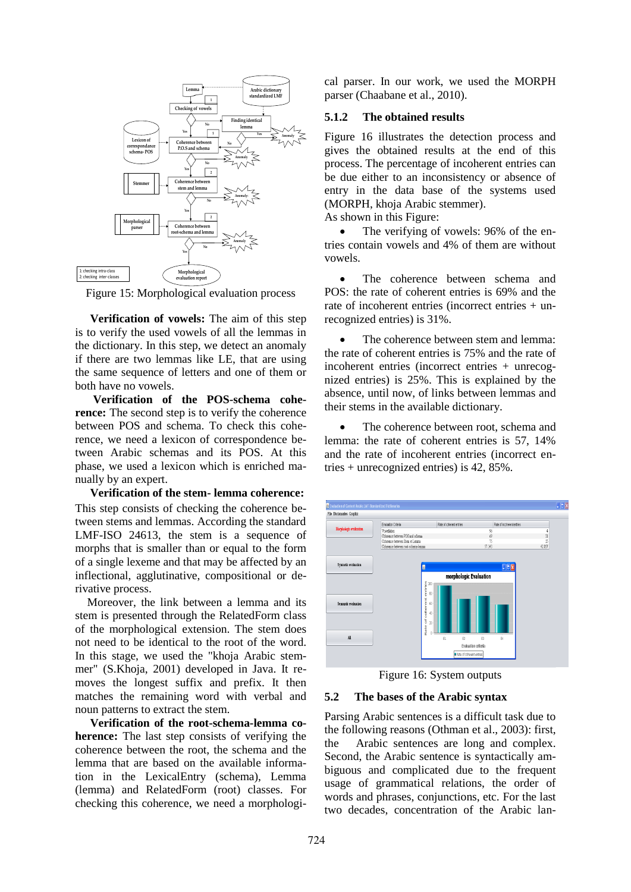

Figure 15: Morphological evaluation process

**Verification of vowels:** The aim of this step is to verify the used vowels of all the lemmas in the dictionary. In this step, we detect an anomaly if there are two lemmas like LE, that are using the same sequence of letters and one of them or both have no vowels.

**Verification of the POS-schema coherence:** The second step is to verify the coherence between POS and schema. To check this coherence, we need a lexicon of correspondence between Arabic schemas and its POS. At this phase, we used a lexicon which is enriched manually by an expert.

**Verification of the stem- lemma coherence:** This step consists of checking the coherence between stems and lemmas. According the standard LMF-ISO 24613, the stem is a sequence of morphs that is smaller than or equal to the form of a single lexeme and that may be affected by an inflectional, agglutinative, compositional or derivative process.

Moreover, the link between a lemma and its stem is presented through the RelatedForm class of the morphological extension. The stem does not need to be identical to the root of the word. In this stage, we used the "khoja Arabic stemmer" (S.Khoja, 2001) developed in Java. It removes the longest suffix and prefix. It then matches the remaining word with verbal and noun patterns to extract the stem.

**Verification of the root-schema-lemma coherence:** The last step consists of verifying the coherence between the root, the schema and the lemma that are based on the available information in the LexicalEntry (schema), Lemma (lemma) and RelatedForm (root) classes. For checking this coherence, we need a morphological parser. In our work, we used the MORPH parser (Chaabane et al., 2010).

#### **5.1.2 The obtained results**

Figure 16 illustrates the detection process and gives the obtained results at the end of this process. The percentage of incoherent entries can be due either to an inconsistency or absence of entry in the data base of the systems used (MORPH, khoja Arabic stemmer). As shown in this Figure:

• The verifying of vowels: 96% of the entries contain vowels and 4% of them are without vowels.

• The coherence between schema and POS: the rate of coherent entries is 69% and the rate of incoherent entries (incorrect entries + unrecognized entries) is 31%.

 The coherence between stem and lemma: the rate of coherent entries is 75% and the rate of incoherent entries (incorrect entries + unrecognized entries) is 25%. This is explained by the absence, until now, of links between lemmas and their stems in the available dictionary.

 The coherence between root, schema and lemma: the rate of coherent entries is 57, 14% and the rate of incoherent entries (incorrect entries + unrecognized entries) is 42, 85%.



Figure 16: System outputs

#### **5.2 The bases of the Arabic syntax**

Parsing Arabic sentences is a difficult task due to the following reasons (Othman et al., 2003): first, the Arabic sentences are long and complex. Second, the Arabic sentence is syntactically ambiguous and complicated due to the frequent usage of grammatical relations, the order of words and phrases, conjunctions, etc. For the last two decades, concentration of the Arabic lan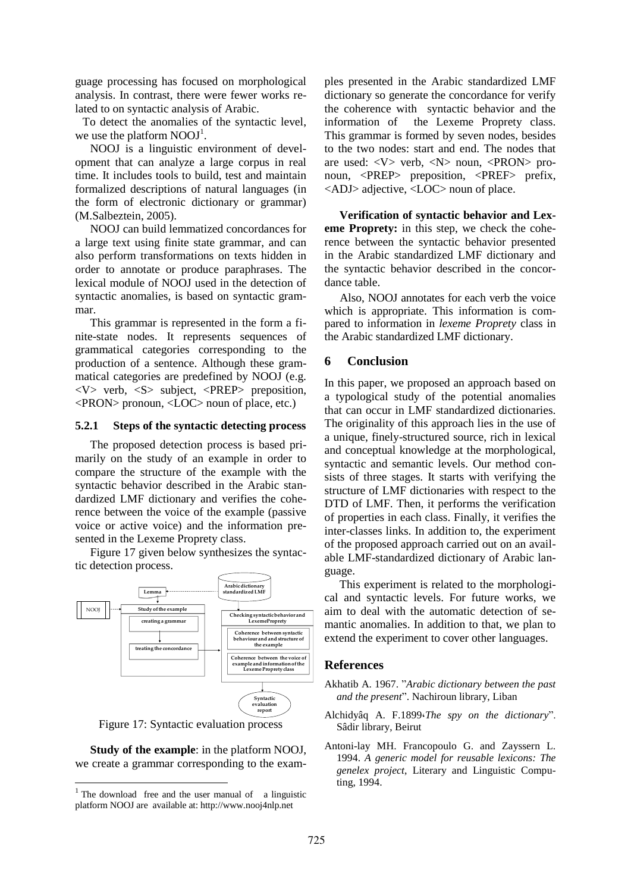guage processing has focused on morphological analysis. In contrast, there were fewer works related to on syntactic analysis of Arabic.

To detect the anomalies of the syntactic level, we use the platform  $NOOJ<sup>1</sup>$ .

NOOJ is a linguistic environment of development that can analyze a large corpus in real time. It includes tools to build, test and maintain formalized descriptions of natural languages (in the form of electronic dictionary or grammar) (M.Salbeztein, 2005).

NOOJ can build lemmatized concordances for a large text using finite state grammar, and can also perform transformations on texts hidden in order to annotate or produce paraphrases. The lexical module of NOOJ used in the detection of syntactic anomalies, is based on syntactic grammar.

This grammar is represented in the form a finite-state nodes. It represents sequences of grammatical categories corresponding to the production of a sentence. Although these grammatical categories are predefined by NOOJ (e.g. <V> verb, <S> subject, <PREP> preposition, <PRON> pronoun, <LOC> noun of place, etc.)

#### **5.2.1 Steps of the syntactic detecting process**

The proposed detection process is based primarily on the study of an example in order to compare the structure of the example with the syntactic behavior described in the Arabic standardized LMF dictionary and verifies the coherence between the voice of the example (passive voice or active voice) and the information presented in the Lexeme Proprety class.

Figure 17 given below synthesizes the syntactic detection process.



Figure 17: Syntactic evaluation process

**Study of the example**: in the platform NOOJ, we create a grammar corresponding to the exam-

ples presented in the Arabic standardized LMF dictionary so generate the concordance for verify the coherence with syntactic behavior and the information of the Lexeme Proprety class. This grammar is formed by seven nodes, besides to the two nodes: start and end. The nodes that are used: <V> verb, <N> noun, <PRON> pronoun, <PREP> preposition, <PREF> prefix, <ADJ> adjective, <LOC> noun of place.

**Verification of syntactic behavior and Lexeme Proprety:** in this step, we check the coherence between the syntactic behavior presented in the Arabic standardized LMF dictionary and the syntactic behavior described in the concordance table.

Also, NOOI annotates for each verb the voice which is appropriate. This information is compared to information in *lexeme Proprety* class in the Arabic standardized LMF dictionary.

#### **6 Conclusion**

In this paper, we proposed an approach based on a typological study of the potential anomalies that can occur in LMF standardized dictionaries. The originality of this approach lies in the use of a unique, finely-structured source, rich in lexical and conceptual knowledge at the morphological, syntactic and semantic levels. Our method consists of three stages. It starts with verifying the structure of LMF dictionaries with respect to the DTD of LMF. Then, it performs the verification of properties in each class. Finally, it verifies the inter-classes links. In addition to, the experiment of the proposed approach carried out on an available LMF-standardized dictionary of Arabic language.

This experiment is related to the morphological and syntactic levels. For future works, we aim to deal with the automatic detection of semantic anomalies. In addition to that, we plan to extend the experiment to cover other languages.

#### **References**

- Akhatib A. 1967. "*Arabic dictionary between the past and the present*". Nachiroun library, Liban
- Alchidyâq A. F.1899،*The spy on the dictionary*". Sâdir library, Beirut
- Antoni-lay MH. Francopoulo G. and Zayssern L. 1994. *A generic model for reusable lexicons: The genelex project*, Literary and Linguistic Computing, 1994.

**The download free and the user manual of a linguistic** platform NOOJ are available at: http://www.nooj4nlp.net